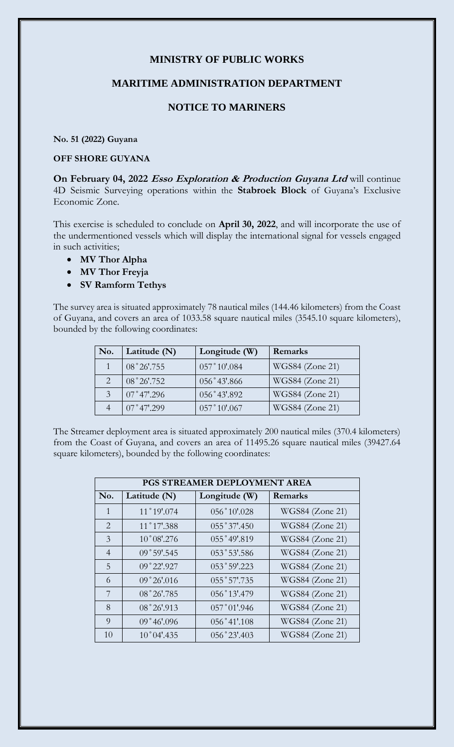# **MINISTRY OF PUBLIC WORKS**

#### **MARITIME ADMINISTRATION DEPARTMENT**

## **NOTICE TO MARINERS**

**No. 51 (2022) Guyana**

### **OFF SHORE GUYANA**

**On February 04, 2022 Esso Exploration & Production Guyana Ltd** will continue 4D Seismic Surveying operations within the **Stabroek Block** of Guyana's Exclusive Economic Zone.

This exercise is scheduled to conclude on **April 30, 2022**, and will incorporate the use of the undermentioned vessels which will display the international signal for vessels engaged in such activities;

- **MV Thor Alpha**
- **MV Thor Freyja**
- **SV Ramform Tethys**

The survey area is situated approximately 78 nautical miles (144.46 kilometers) from the Coast of Guyana, and covers an area of 1033.58 square nautical miles (3545.10 square kilometers), bounded by the following coordinates:

| No. | Latitude (N)        | Longitude (W) | Remarks         |
|-----|---------------------|---------------|-----------------|
|     | 08°26'.755          | 057°10'.084   | WGS84 (Zone 21) |
|     | 08°26'.752          | 056°43'.866   | WGS84 (Zone 21) |
|     | $07^{\circ}47'.296$ | 056°43'.892   | WGS84 (Zone 21) |
|     | $07^{\circ}47'.299$ | 057°10'0.067  | WGS84 (Zone 21) |

The Streamer deployment area is situated approximately 200 nautical miles (370.4 kilometers) from the Coast of Guyana, and covers an area of 11495.26 square nautical miles (39427.64 square kilometers), bounded by the following coordinates:

| PGS STREAMER DEPLOYMENT AREA |                      |                |                        |  |
|------------------------------|----------------------|----------------|------------------------|--|
| No.                          | Latitude (N)         | Longitude (W)  | Remarks                |  |
| $\mathbf{1}$                 | 11°19'.074           | 056°10'.028    | WGS84 (Zone 21)        |  |
| 2                            | 11°17'.388           | 055°37'.450    | <b>WGS84</b> (Zone 21) |  |
| 3                            | $10^{\circ}08'$ .276 | 055°49'.819    | WGS84 (Zone 21)        |  |
| $\overline{4}$               | 09°59'.545           | 053°53'.586    | WGS84 (Zone 21)        |  |
| 5                            | 09°22'.927           | 053°59'.223    | WGS84 (Zone 21)        |  |
| 6                            | 09°26'016            | 055°57'.735    | WGS84 (Zone 21)        |  |
| 7                            | 08°26'.785           | 056°13'.479    | WGS84 (Zone 21)        |  |
| 8                            | 08°26'.913           | $057°01'$ .946 | WGS84 (Zone 21)        |  |
| 9                            | 09°46'096            | $056°41'$ .108 | WGS84 (Zone 21)        |  |
| 10                           | $10^{\circ}04'$ .435 | 056°23'.403    | WGS84 (Zone 21)        |  |